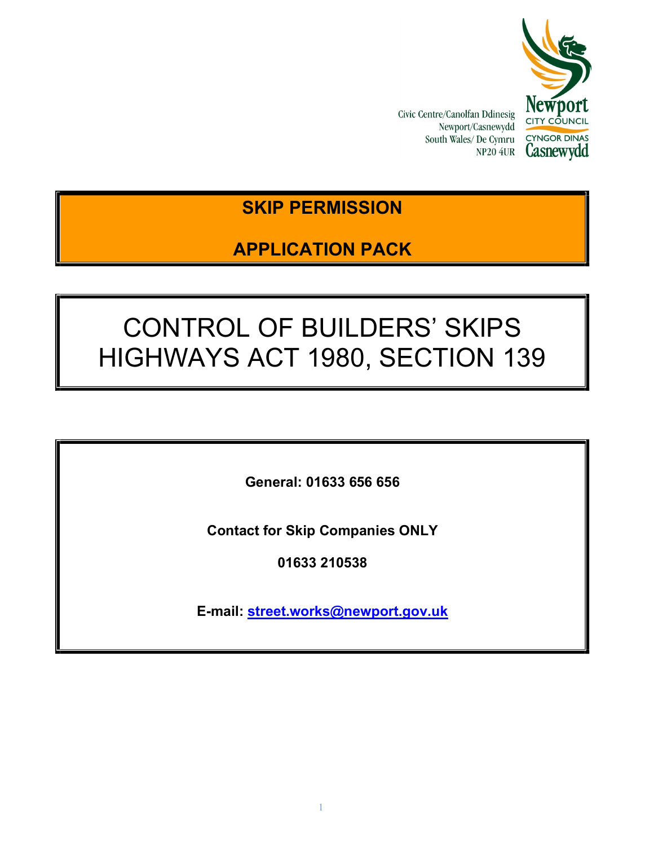

Civic Centre/Canolfan Ddinesig Newport/Casnewydd South Wales/ De Cymru NP20 4UR

# SKIP PERMISSION

# APPLICATION PACK

# CONTROL OF BUILDERS' SKIPS HIGHWAYS ACT 1980, SECTION 139

General: 01633 656 656

Contact for Skip Companies ONLY

01633 210538

E-mail: street.works@newport.gov.uk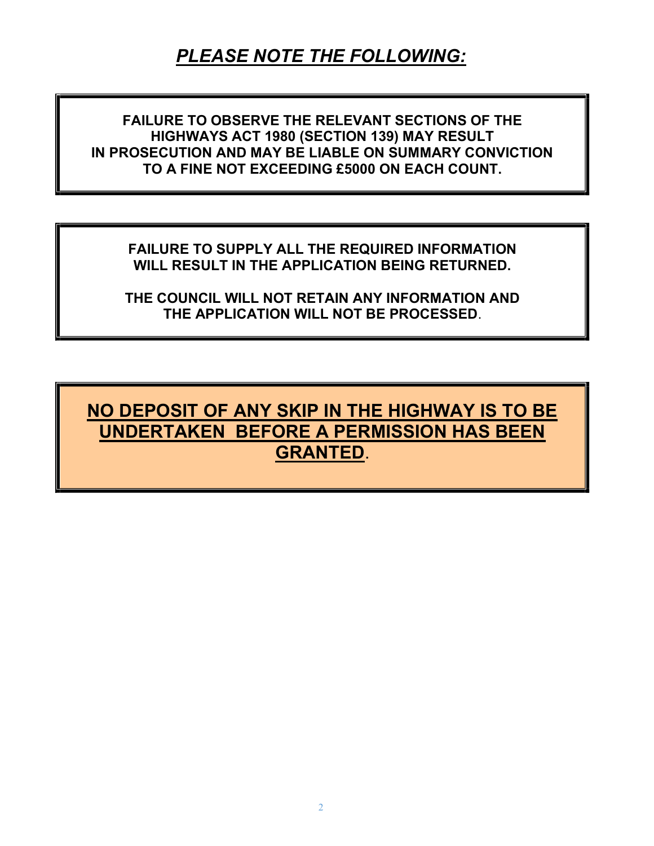# PLEASE NOTE THE FOLLOWING:

FAILURE TO OBSERVE THE RELEVANT SECTIONS OF THE HIGHWAYS ACT 1980 (SECTION 139) MAY RESULT IN PROSECUTION AND MAY BE LIABLE ON SUMMARY CONVICTION TO A FINE NOT EXCEEDING £5000 ON EACH COUNT.

FAILURE TO SUPPLY ALL THE REQUIRED INFORMATION WILL RESULT IN THE APPLICATION BEING RETURNED.

THE COUNCIL WILL NOT RETAIN ANY INFORMATION AND THE APPLICATION WILL NOT BE PROCESSED.

NO DEPOSIT OF ANY SKIP IN THE HIGHWAY IS TO BE UNDERTAKEN BEFORE A PERMISSION HAS BEEN GRANTED.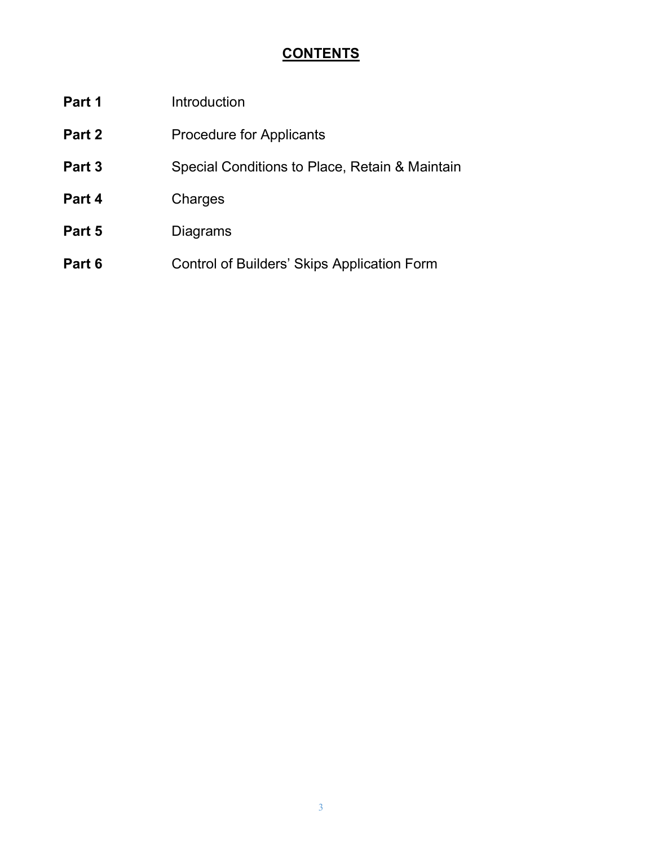## **CONTENTS**

| Part 1 | Introduction                                       |
|--------|----------------------------------------------------|
| Part 2 | <b>Procedure for Applicants</b>                    |
| Part 3 | Special Conditions to Place, Retain & Maintain     |
| Part 4 | Charges                                            |
| Part 5 | Diagrams                                           |
| Part 6 | <b>Control of Builders' Skips Application Form</b> |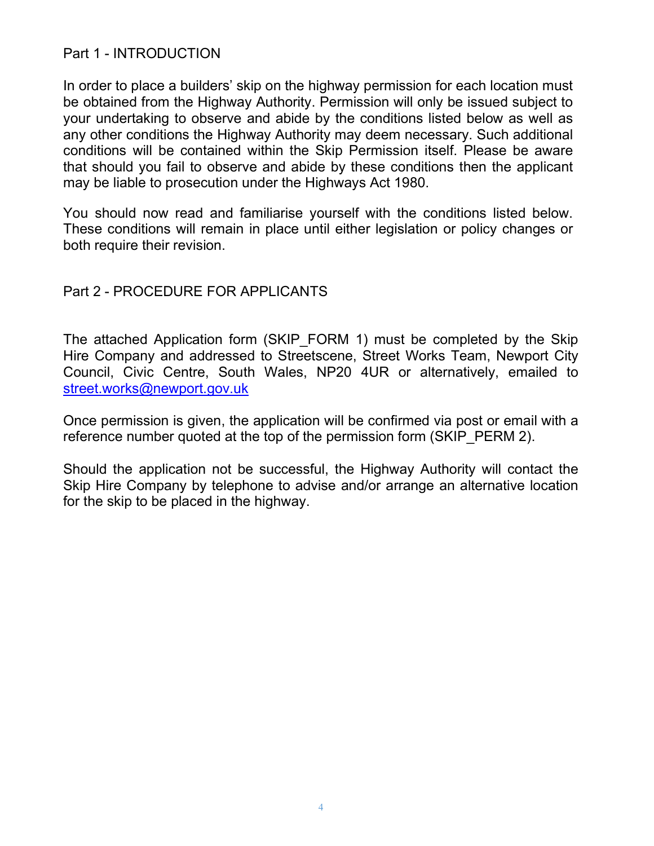#### Part 1 - INTRODUCTION

In order to place a builders' skip on the highway permission for each location must be obtained from the Highway Authority. Permission will only be issued subject to your undertaking to observe and abide by the conditions listed below as well as any other conditions the Highway Authority may deem necessary. Such additional conditions will be contained within the Skip Permission itself. Please be aware that should you fail to observe and abide by these conditions then the applicant may be liable to prosecution under the Highways Act 1980.

You should now read and familiarise yourself with the conditions listed below. These conditions will remain in place until either legislation or policy changes or both require their revision.

#### Part 2 - PROCEDURE FOR APPLICANTS

The attached Application form (SKIP FORM 1) must be completed by the Skip Hire Company and addressed to Streetscene, Street Works Team, Newport City Council, Civic Centre, South Wales, NP20 4UR or alternatively, emailed to street.works@newport.gov.uk

Once permission is given, the application will be confirmed via post or email with a reference number quoted at the top of the permission form (SKIP PERM 2).

Should the application not be successful, the Highway Authority will contact the Skip Hire Company by telephone to advise and/or arrange an alternative location for the skip to be placed in the highway.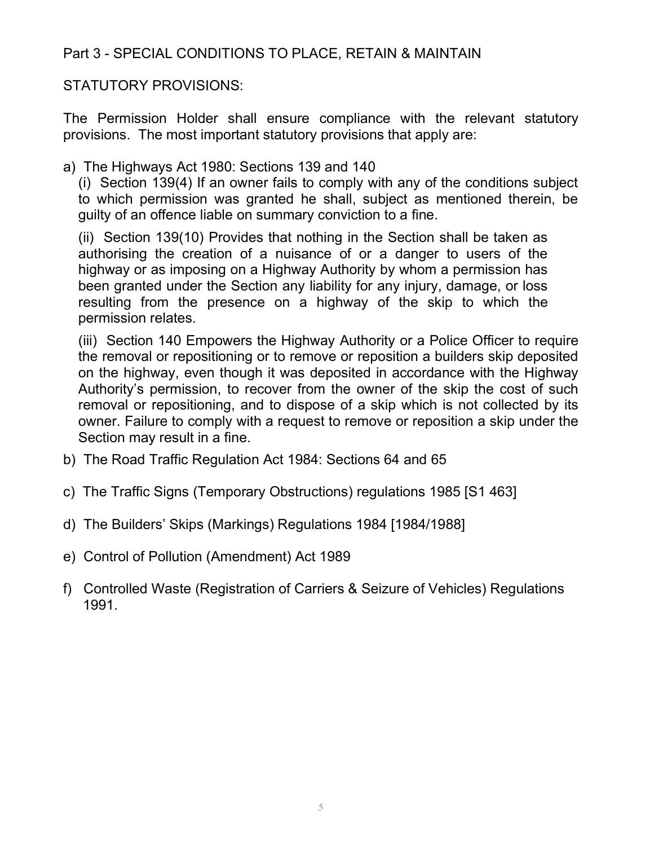### Part 3 - SPECIAL CONDITIONS TO PLACE, RETAIN & MAINTAIN

STATUTORY PROVISIONS:

The Permission Holder shall ensure compliance with the relevant statutory provisions. The most important statutory provisions that apply are:

a) The Highways Act 1980: Sections 139 and 140

(i) Section 139(4) If an owner fails to comply with any of the conditions subject to which permission was granted he shall, subject as mentioned therein, be guilty of an offence liable on summary conviction to a fine.

(ii) Section 139(10) Provides that nothing in the Section shall be taken as authorising the creation of a nuisance of or a danger to users of the highway or as imposing on a Highway Authority by whom a permission has been granted under the Section any liability for any injury, damage, or loss resulting from the presence on a highway of the skip to which the permission relates.

(iii) Section 140 Empowers the Highway Authority or a Police Officer to require the removal or repositioning or to remove or reposition a builders skip deposited on the highway, even though it was deposited in accordance with the Highway Authority's permission, to recover from the owner of the skip the cost of such removal or repositioning, and to dispose of a skip which is not collected by its owner. Failure to comply with a request to remove or reposition a skip under the Section may result in a fine.

- b) The Road Traffic Regulation Act 1984: Sections 64 and 65
- c) The Traffic Signs (Temporary Obstructions) regulations 1985 [S1 463]
- d) The Builders' Skips (Markings) Regulations 1984 [1984/1988]
- e) Control of Pollution (Amendment) Act 1989
- f) Controlled Waste (Registration of Carriers & Seizure of Vehicles) Regulations 1991.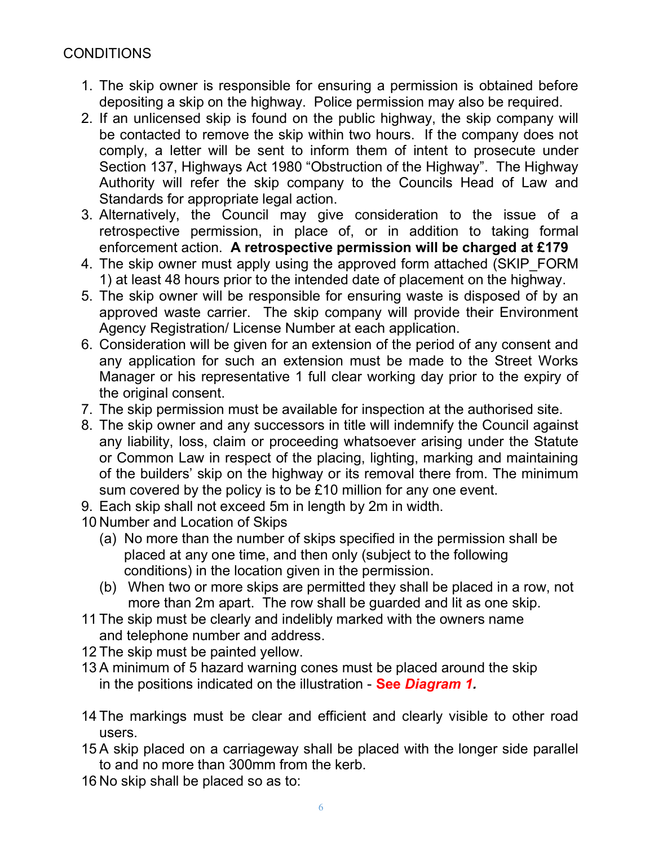### CONDITIONS

- 1. The skip owner is responsible for ensuring a permission is obtained before depositing a skip on the highway. Police permission may also be required.
- 2. If an unlicensed skip is found on the public highway, the skip company will be contacted to remove the skip within two hours. If the company does not comply, a letter will be sent to inform them of intent to prosecute under Section 137, Highways Act 1980 "Obstruction of the Highway". The Highway Authority will refer the skip company to the Councils Head of Law and Standards for appropriate legal action.
- 3. Alternatively, the Council may give consideration to the issue of a retrospective permission, in place of, or in addition to taking formal enforcement action. A retrospective permission will be charged at £179
- 4. The skip owner must apply using the approved form attached (SKIP\_FORM 1) at least 48 hours prior to the intended date of placement on the highway.
- 5. The skip owner will be responsible for ensuring waste is disposed of by an approved waste carrier. The skip company will provide their Environment Agency Registration/ License Number at each application.
- 6. Consideration will be given for an extension of the period of any consent and any application for such an extension must be made to the Street Works Manager or his representative 1 full clear working day prior to the expiry of the original consent.
- 7. The skip permission must be available for inspection at the authorised site.
- 8. The skip owner and any successors in title will indemnify the Council against any liability, loss, claim or proceeding whatsoever arising under the Statute or Common Law in respect of the placing, lighting, marking and maintaining of the builders' skip on the highway or its removal there from. The minimum sum covered by the policy is to be £10 million for any one event.
- 9. Each skip shall not exceed 5m in length by 2m in width.
- 10 Number and Location of Skips
	- (a) No more than the number of skips specified in the permission shall be placed at any one time, and then only (subject to the following conditions) in the location given in the permission.
	- (b) When two or more skips are permitted they shall be placed in a row, not more than 2m apart. The row shall be guarded and lit as one skip.
- 11 The skip must be clearly and indelibly marked with the owners name and telephone number and address.
- 12 The skip must be painted yellow.
- 13 A minimum of 5 hazard warning cones must be placed around the skip in the positions indicated on the illustration - See Diagram 1.
- 14 The markings must be clear and efficient and clearly visible to other road users.
- 15 A skip placed on a carriageway shall be placed with the longer side parallel to and no more than 300mm from the kerb.
- 16 No skip shall be placed so as to: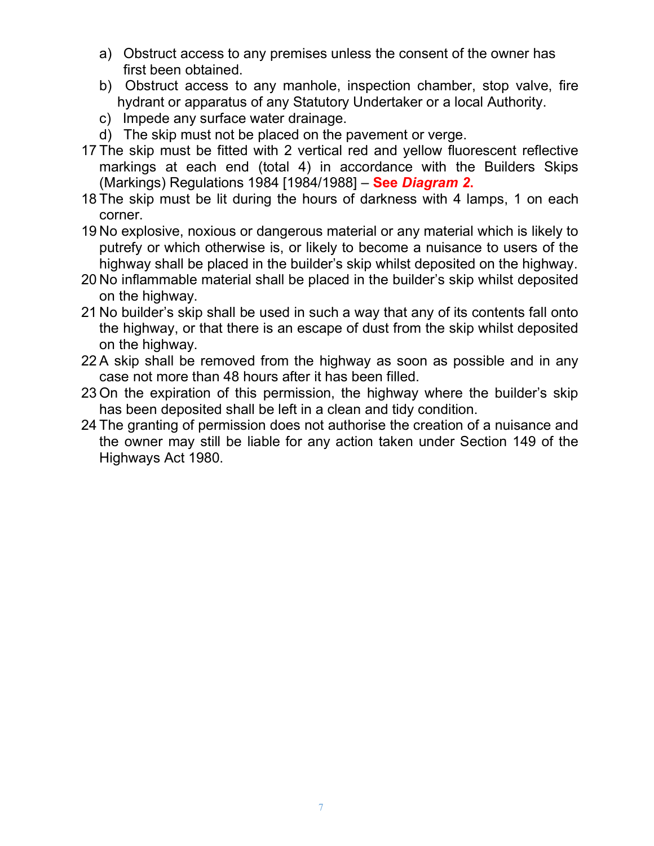- a) Obstruct access to any premises unless the consent of the owner has first been obtained.
- b) Obstruct access to any manhole, inspection chamber, stop valve, fire hydrant or apparatus of any Statutory Undertaker or a local Authority.
- c) Impede any surface water drainage.
- d) The skip must not be placed on the pavement or verge.
- 17 The skip must be fitted with 2 vertical red and yellow fluorescent reflective markings at each end (total 4) in accordance with the Builders Skips (Markings) Regulations 1984 [1984/1988] - See Diagram 2.
- 18 The skip must be lit during the hours of darkness with 4 lamps, 1 on each corner.
- 19 No explosive, noxious or dangerous material or any material which is likely to putrefy or which otherwise is, or likely to become a nuisance to users of the highway shall be placed in the builder's skip whilst deposited on the highway.
- 20 No inflammable material shall be placed in the builder's skip whilst deposited on the highway.
- 21 No builder's skip shall be used in such a way that any of its contents fall onto the highway, or that there is an escape of dust from the skip whilst deposited on the highway.
- 22 A skip shall be removed from the highway as soon as possible and in any case not more than 48 hours after it has been filled.
- 23 On the expiration of this permission, the highway where the builder's skip has been deposited shall be left in a clean and tidy condition.
- 24 The granting of permission does not authorise the creation of a nuisance and the owner may still be liable for any action taken under Section 149 of the Highways Act 1980.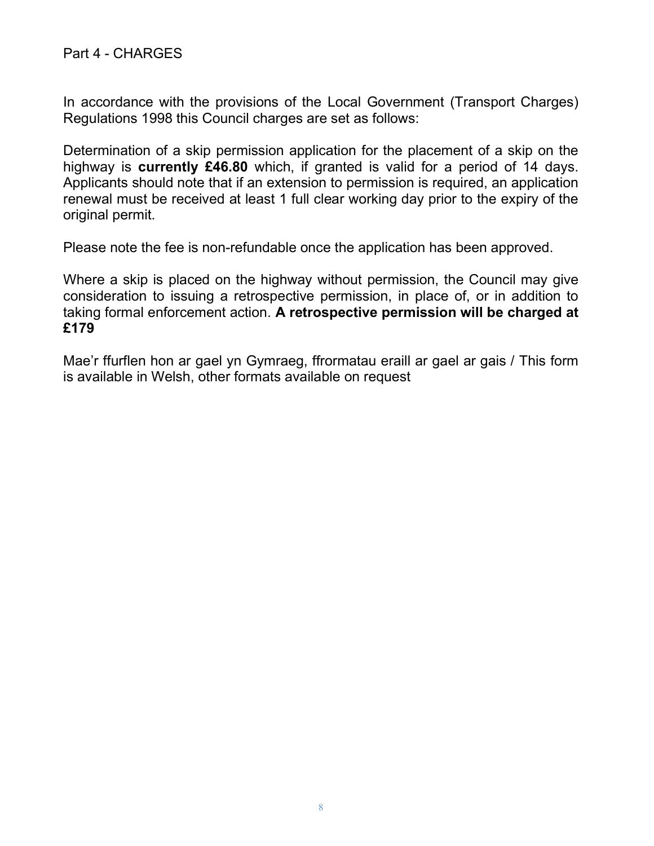In accordance with the provisions of the Local Government (Transport Charges) Regulations 1998 this Council charges are set as follows:

Determination of a skip permission application for the placement of a skip on the highway is currently £46.80 which, if granted is valid for a period of 14 days. Applicants should note that if an extension to permission is required, an application renewal must be received at least 1 full clear working day prior to the expiry of the original permit.

Please note the fee is non-refundable once the application has been approved.

Where a skip is placed on the highway without permission, the Council may give consideration to issuing a retrospective permission, in place of, or in addition to taking formal enforcement action. A retrospective permission will be charged at £179

Mae'r ffurflen hon ar gael yn Gymraeg, ffrormatau eraill ar gael ar gais / This form is available in Welsh, other formats available on request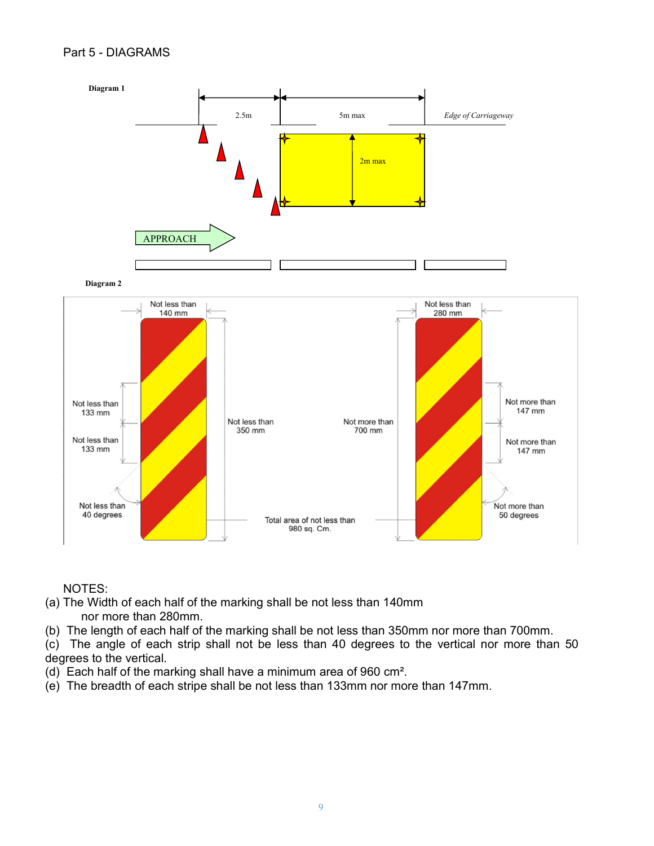#### Part 5 - DIAGRAMS



NOTES:

- (a) The Width of each half of the marking shall be not less than 140mm nor more than 280mm.
- (b) The length of each half of the marking shall be not less than 350mm nor more than 700mm.
- (c) The angle of each strip shall not be less than 40 degrees to the vertical nor more than 50 degrees to the vertical.
- (d) Each half of the marking shall have a minimum area of 960 cm².
- (e) The breadth of each stripe shall be not less than 133mm nor more than 147mm.